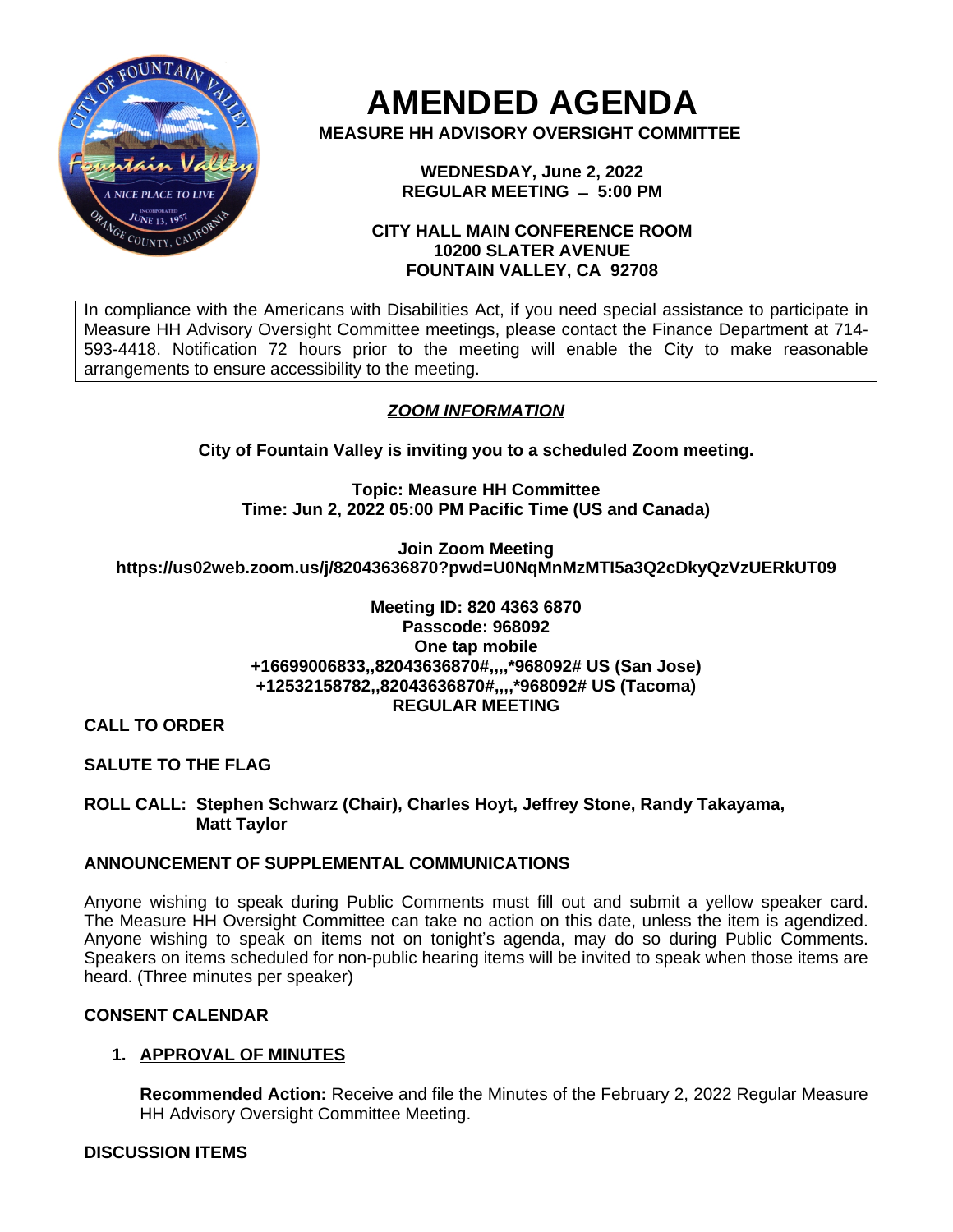

**AMENDED AGENDA**

**MEASURE HH ADVISORY OVERSIGHT COMMITTEE**

**WEDNESDAY, June 2, 2022 REGULAR MEETING ̶ 5:00 PM**

## **CITY HALL MAIN CONFERENCE ROOM 10200 SLATER AVENUE FOUNTAIN VALLEY, CA 92708**

In compliance with the Americans with Disabilities Act, if you need special assistance to participate in Measure HH Advisory Oversight Committee meetings, please contact the Finance Department at 714- 593-4418. Notification 72 hours prior to the meeting will enable the City to make reasonable arrangements to ensure accessibility to the meeting.

# *ZOOM INFORMATION*

**City of Fountain Valley is inviting you to a scheduled Zoom meeting.**

**Topic: Measure HH Committee Time: Jun 2, 2022 05:00 PM Pacific Time (US and Canada)**

**Join Zoom Meeting https://us02web.zoom.us/j/82043636870?pwd=U0NqMnMzMTI5a3Q2cDkyQzVzUERkUT09**

#### **Meeting ID: 820 4363 6870 Passcode: 968092 One tap mobile +16699006833,,82043636870#,,,,\*968092# US (San Jose) +12532158782,,82043636870#,,,,\*968092# US (Tacoma) REGULAR MEETING**

**CALL TO ORDER**

**SALUTE TO THE FLAG**

**ROLL CALL: Stephen Schwarz (Chair), Charles Hoyt, Jeffrey Stone, Randy Takayama, Matt Taylor**

# **ANNOUNCEMENT OF SUPPLEMENTAL COMMUNICATIONS**

Anyone wishing to speak during Public Comments must fill out and submit a yellow speaker card. The Measure HH Oversight Committee can take no action on this date, unless the item is agendized. Anyone wishing to speak on items not on tonight's agenda, may do so during Public Comments. Speakers on items scheduled for non-public hearing items will be invited to speak when those items are heard. (Three minutes per speaker)

# **CONSENT CALENDAR**

# **1. APPROVAL OF MINUTES**

**Recommended Action:** Receive and file the Minutes of the February 2, 2022 Regular Measure HH Advisory Oversight Committee Meeting.

# **DISCUSSION ITEMS**